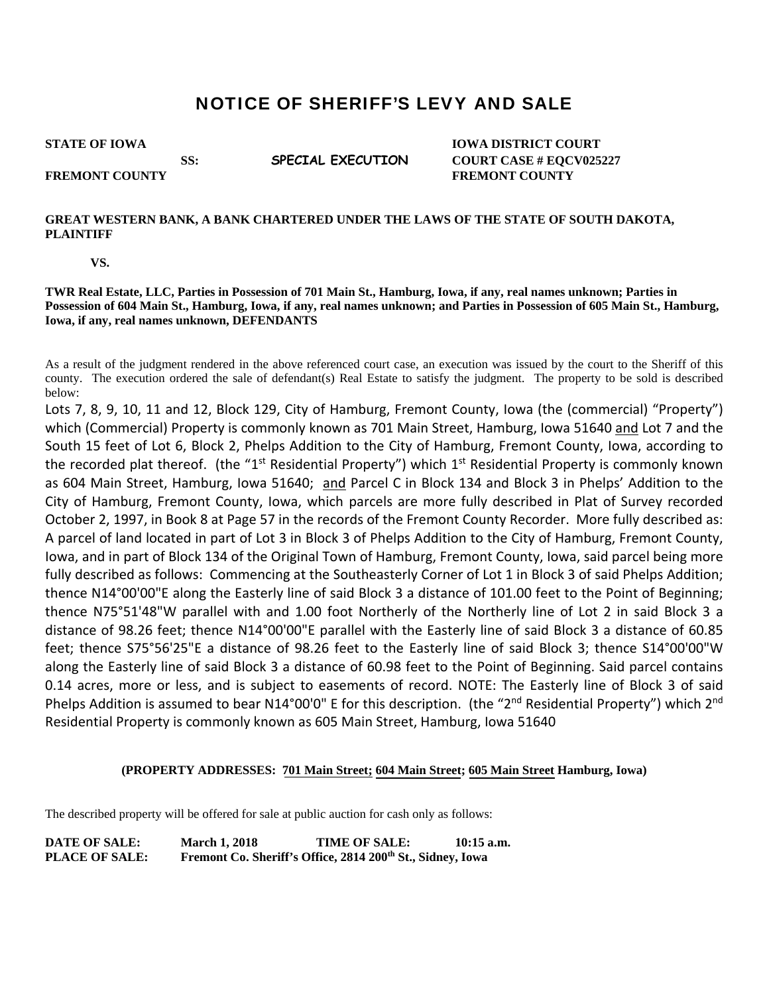## NOTICE OF SHERIFF'S LEVY AND SALE

**STATE OF IOWA** IOWA **IOWA DISTRICT COURT SS: SPECIAL EXECUTION COURT CASE # EQCV025227 FREMONT COUNTY SERVICE SERVICES FREMONT COUNTY** 

## **GREAT WESTERN BANK, A BANK CHARTERED UNDER THE LAWS OF THE STATE OF SOUTH DAKOTA, PLAINTIFF**

 **VS.** 

**TWR Real Estate, LLC, Parties in Possession of 701 Main St., Hamburg, Iowa, if any, real names unknown; Parties in Possession of 604 Main St., Hamburg, Iowa, if any, real names unknown; and Parties in Possession of 605 Main St., Hamburg, Iowa, if any, real names unknown, DEFENDANTS** 

As a result of the judgment rendered in the above referenced court case, an execution was issued by the court to the Sheriff of this county. The execution ordered the sale of defendant(s) Real Estate to satisfy the judgment. The property to be sold is described below:

Lots 7, 8, 9, 10, 11 and 12, Block 129, City of Hamburg, Fremont County, Iowa (the (commercial) "Property") which (Commercial) Property is commonly known as 701 Main Street, Hamburg, Iowa 51640 and Lot 7 and the South 15 feet of Lot 6, Block 2, Phelps Addition to the City of Hamburg, Fremont County, Iowa, according to the recorded plat thereof. (the "1<sup>st</sup> Residential Property") which 1<sup>st</sup> Residential Property is commonly known as 604 Main Street, Hamburg, Iowa 51640; and Parcel C in Block 134 and Block 3 in Phelps' Addition to the City of Hamburg, Fremont County, Iowa, which parcels are more fully described in Plat of Survey recorded October 2, 1997, in Book 8 at Page 57 in the records of the Fremont County Recorder. More fully described as: A parcel of land located in part of Lot 3 in Block 3 of Phelps Addition to the City of Hamburg, Fremont County, Iowa, and in part of Block 134 of the Original Town of Hamburg, Fremont County, Iowa, said parcel being more fully described as follows: Commencing at the Southeasterly Corner of Lot 1 in Block 3 of said Phelps Addition; thence N14°00'00"E along the Easterly line of said Block 3 a distance of 101.00 feet to the Point of Beginning; thence N75°51'48"W parallel with and 1.00 foot Northerly of the Northerly line of Lot 2 in said Block 3 a distance of 98.26 feet; thence N14°00'00"E parallel with the Easterly line of said Block 3 a distance of 60.85 feet; thence S75°56'25"E a distance of 98.26 feet to the Easterly line of said Block 3; thence S14°00'00"W along the Easterly line of said Block 3 a distance of 60.98 feet to the Point of Beginning. Said parcel contains 0.14 acres, more or less, and is subject to easements of record. NOTE: The Easterly line of Block 3 of said Phelps Addition is assumed to bear N14°00'0" E for this description. (the "2<sup>nd</sup> Residential Property") which 2<sup>nd</sup> Residential Property is commonly known as 605 Main Street, Hamburg, Iowa 51640

## **(PROPERTY ADDRESSES: [701 Main Street;](https://beacon.schneidercorp.com/Application.aspx?AppID=825&LayerID=14967&PageTypeID=4&PageID=6731&Q=1944455727&KeyValue=430430499000000) [604 Main Street](https://beacon.schneidercorp.com/Application.aspx?AppID=825&LayerID=14967&PageTypeID=4&PageID=6731&Q=879182012&KeyValue=430430676000000); [605 Main Street](https://beacon.schneidercorp.com/Application.aspx?AppID=825&LayerID=14967&PageTypeID=4&PageID=6731&Q=257324391&KeyValue=430430680000000) Hamburg, Iowa)**

The described property will be offered for sale at public auction for cash only as follows:

**DATE OF SALE: March 1, 2018 TIME OF SALE: 10:15 a.m.**  PLACE OF SALE: Fremont Co. Sheriff's Office, 2814 200<sup>th</sup> St., Sidney, Iowa